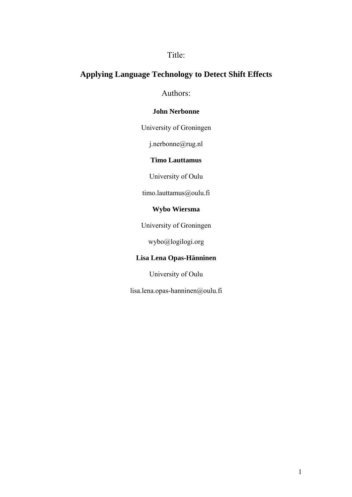## Title:

# **Applying Language Technology to Detect Shift Effects**

Authors:

## **John Nerbonne**

University of Groningen

j.nerbonne@rug.nl

## **Timo Lauttamus**

University of Oulu

timo.lauttamus@oulu.fi

## **Wybo Wiersma**

University of Groningen

wybo@logilogi.org

## **Lisa Lena Opas-Hänninen**

University of Oulu

lisa.lena.opas-hanninen@oulu.fi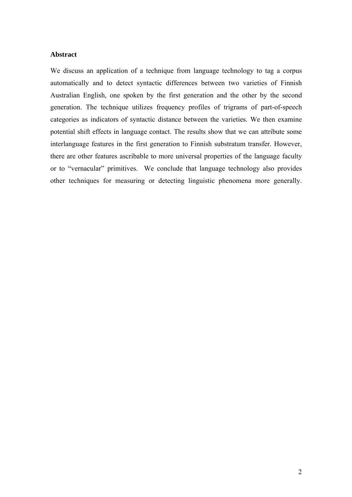#### **Abstract**

We discuss an application of a technique from language technology to tag a corpus automatically and to detect syntactic differences between two varieties of Finnish Australian English, one spoken by the first generation and the other by the second generation. The technique utilizes frequency profiles of trigrams of part-of-speech categories as indicators of syntactic distance between the varieties. We then examine potential shift effects in language contact. The results show that we can attribute some interlanguage features in the first generation to Finnish substratum transfer. However, there are other features ascribable to more universal properties of the language faculty or to "vernacular" primitives. We conclude that language technology also provides other techniques for measuring or detecting linguistic phenomena more generally.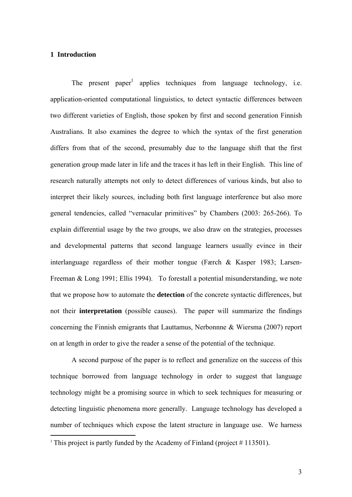### **1 Introduction**

The present paper<sup>[1](#page-2-0)</sup> applies techniques from language technology, i.e. application-oriented computational linguistics, to detect syntactic differences between two different varieties of English, those spoken by first and second generation Finnish Australians. It also examines the degree to which the syntax of the first generation differs from that of the second, presumably due to the language shift that the first generation group made later in life and the traces it has left in their English. This line of research naturally attempts not only to detect differences of various kinds, but also to interpret their likely sources, including both first language interference but also more general tendencies, called "vernacular primitives" by Chambers (2003: 265-266). To explain differential usage by the two groups, we also draw on the strategies, processes and developmental patterns that second language learners usually evince in their interlanguage regardless of their mother tongue (Færch & Kasper 1983; Larsen-Freeman & Long 1991; Ellis 1994). To forestall a potential misunderstanding, we note that we propose how to automate the **detection** of the concrete syntactic differences, but not their **interpretation** (possible causes). The paper will summarize the findings concerning the Finnish emigrants that Lauttamus, Nerbonnne & Wiersma (2007) report on at length in order to give the reader a sense of the potential of the technique.

A second purpose of the paper is to reflect and generalize on the success of this technique borrowed from language technology in order to suggest that language technology might be a promising source in which to seek techniques for measuring or detecting linguistic phenomena more generally. Language technology has developed a number of techniques which expose the latent structure in language use. We harness  $\overline{a}$ 

<span id="page-2-0"></span><sup>&</sup>lt;sup>1</sup> This project is partly funded by the Academy of Finland (project  $# 113501$ ).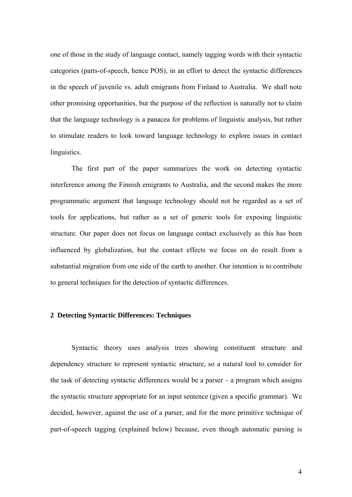one of those in the study of language contact, namely tagging words with their syntactic categories (parts-of-speech, hence POS), in an effort to detect the syntactic differences in the speech of juvenile vs. adult emigrants from Finland to Australia. We shall note other promising opportunities, but the purpose of the reflection is naturally not to claim that the language technology is a panacea for problems of linguistic analysis, but rather to stimulate readers to look toward language technology to explore issues in contact linguistics.

The first part of the paper summarizes the work on detecting syntactic interference among the Finnish emigrants to Australia, and the second makes the more programmatic argument that language technology should not be regarded as a set of tools for applications, but rather as a set of generic tools for exposing linguistic structure. Our paper does not focus on language contact exclusively as this has been influenced by globalization, but the contact effects we focus on do result from a substantial migration from one side of the earth to another. Our intention is to contribute to general techniques for the detection of syntactic differences.

## **2 Detecting Syntactic Differences: Techniques**

Syntactic theory uses analysis trees showing constituent structure and dependency structure to represent syntactic structure, so a natural tool to consider for the task of detecting syntactic differences would be a parser – a program which assigns the syntactic structure appropriate for an input sentence (given a specific grammar). We decided, however, against the use of a parser, and for the more primitive technique of part-of-speech tagging (explained below) because, even though automatic parsing is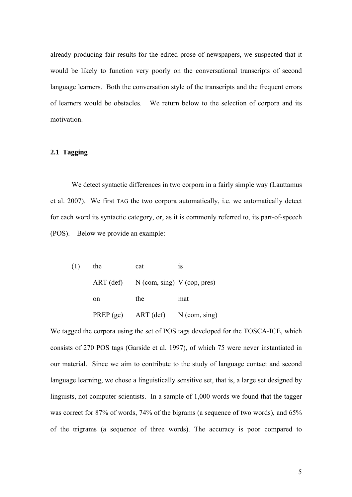already producing fair results for the edited prose of newspapers, we suspected that it would be likely to function very poorly on the conversational transcripts of second language learners. Both the conversation style of the transcripts and the frequent errors of learners would be obstacles. We return below to the selection of corpora and its motivation.

## **2.1 Tagging**

We detect syntactic differences in two corpora in a fairly simple way (Lauttamus et al. 2007). We first TAG the two corpora automatically, i.e. we automatically detect for each word its syntactic category, or, as it is commonly referred to, its part-of-speech (POS). Below we provide an example:

| (1) | the | cat                                         | 1S  |
|-----|-----|---------------------------------------------|-----|
|     |     | $ART$ (def) $N$ (com, sing) $V$ (cop, pres) |     |
|     | on  | the                                         | mat |
|     |     | PREP (ge) ART (def) N (com, sing)           |     |

We tagged the corpora using the set of POS tags developed for the TOSCA-ICE, which consists of 270 POS tags (Garside et al. 1997), of which 75 were never instantiated in our material. Since we aim to contribute to the study of language contact and second language learning, we chose a linguistically sensitive set, that is, a large set designed by linguists, not computer scientists. In a sample of 1,000 words we found that the tagger was correct for 87% of words, 74% of the bigrams (a sequence of two words), and 65% of the trigrams (a sequence of three words). The accuracy is poor compared to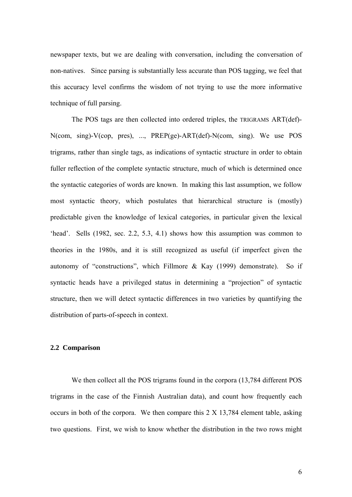newspaper texts, but we are dealing with conversation, including the conversation of non-natives. Since parsing is substantially less accurate than POS tagging, we feel that this accuracy level confirms the wisdom of not trying to use the more informative technique of full parsing.

The POS tags are then collected into ordered triples, the TRIGRAMS ART(def)- N(com, sing)-V(cop, pres), ..., PREP(ge)-ART(def)-N(com, sing). We use POS trigrams, rather than single tags, as indications of syntactic structure in order to obtain fuller reflection of the complete syntactic structure, much of which is determined once the syntactic categories of words are known. In making this last assumption, we follow most syntactic theory, which postulates that hierarchical structure is (mostly) predictable given the knowledge of lexical categories, in particular given the lexical 'head'. Sells (1982, sec. 2.2, 5.3, 4.1) shows how this assumption was common to theories in the 1980s, and it is still recognized as useful (if imperfect given the autonomy of "constructions", which Fillmore & Kay (1999) demonstrate). So if syntactic heads have a privileged status in determining a "projection" of syntactic structure, then we will detect syntactic differences in two varieties by quantifying the distribution of parts-of-speech in context.

#### **2.2 Comparison**

We then collect all the POS trigrams found in the corpora (13,784 different POS trigrams in the case of the Finnish Australian data), and count how frequently each occurs in both of the corpora. We then compare this 2 X 13,784 element table, asking two questions. First, we wish to know whether the distribution in the two rows might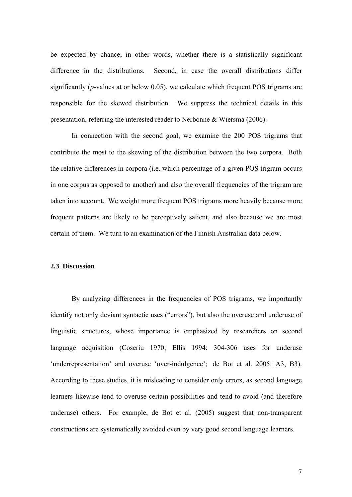be expected by chance, in other words, whether there is a statistically significant difference in the distributions. Second, in case the overall distributions differ significantly (*p*-values at or below 0.05), we calculate which frequent POS trigrams are responsible for the skewed distribution. We suppress the technical details in this presentation, referring the interested reader to Nerbonne & Wiersma (2006).

In connection with the second goal, we examine the 200 POS trigrams that contribute the most to the skewing of the distribution between the two corpora. Both the relative differences in corpora (i.e. which percentage of a given POS trigram occurs in one corpus as opposed to another) and also the overall frequencies of the trigram are taken into account. We weight more frequent POS trigrams more heavily because more frequent patterns are likely to be perceptively salient, and also because we are most certain of them. We turn to an examination of the Finnish Australian data below.

#### **2.3 Discussion**

By analyzing differences in the frequencies of POS trigrams, we importantly identify not only deviant syntactic uses ("errors"), but also the overuse and underuse of linguistic structures, whose importance is emphasized by researchers on second language acquisition (Coseriu 1970; Ellis 1994: 304-306 uses for underuse 'underrepresentation' and overuse 'over-indulgence'; de Bot et al. 2005: A3, B3). According to these studies, it is misleading to consider only errors, as second language learners likewise tend to overuse certain possibilities and tend to avoid (and therefore underuse) others. For example, de Bot et al. (2005) suggest that non-transparent constructions are systematically avoided even by very good second language learners.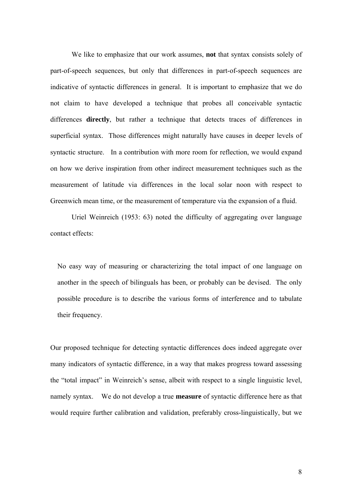We like to emphasize that our work assumes, **not** that syntax consists solely of part-of-speech sequences, but only that differences in part-of-speech sequences are indicative of syntactic differences in general. It is important to emphasize that we do not claim to have developed a technique that probes all conceivable syntactic differences **directly**, but rather a technique that detects traces of differences in superficial syntax. Those differences might naturally have causes in deeper levels of syntactic structure. In a contribution with more room for reflection, we would expand on how we derive inspiration from other indirect measurement techniques such as the measurement of latitude via differences in the local solar noon with respect to Greenwich mean time, or the measurement of temperature via the expansion of a fluid.

Uriel Weinreich (1953: 63) noted the difficulty of aggregating over language contact effects:

No easy way of measuring or characterizing the total impact of one language on another in the speech of bilinguals has been, or probably can be devised. The only possible procedure is to describe the various forms of interference and to tabulate their frequency.

Our proposed technique for detecting syntactic differences does indeed aggregate over many indicators of syntactic difference, in a way that makes progress toward assessing the "total impact" in Weinreich's sense, albeit with respect to a single linguistic level, namely syntax. We do not develop a true **measure** of syntactic difference here as that would require further calibration and validation, preferably cross-linguistically, but we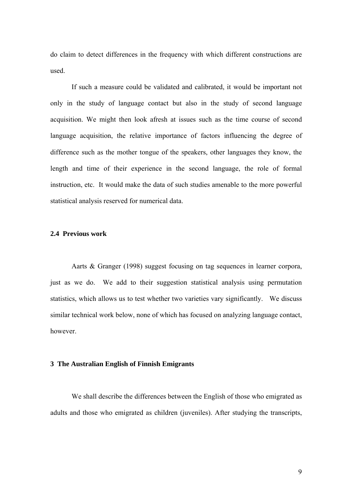do claim to detect differences in the frequency with which different constructions are used.

If such a measure could be validated and calibrated, it would be important not only in the study of language contact but also in the study of second language acquisition. We might then look afresh at issues such as the time course of second language acquisition, the relative importance of factors influencing the degree of difference such as the mother tongue of the speakers, other languages they know, the length and time of their experience in the second language, the role of formal instruction, etc. It would make the data of such studies amenable to the more powerful statistical analysis reserved for numerical data.

#### **2.4 Previous work**

Aarts & Granger (1998) suggest focusing on tag sequences in learner corpora, just as we do. We add to their suggestion statistical analysis using permutation statistics, which allows us to test whether two varieties vary significantly. We discuss similar technical work below, none of which has focused on analyzing language contact, however.

#### **3 The Australian English of Finnish Emigrants**

We shall describe the differences between the English of those who emigrated as adults and those who emigrated as children (juveniles). After studying the transcripts,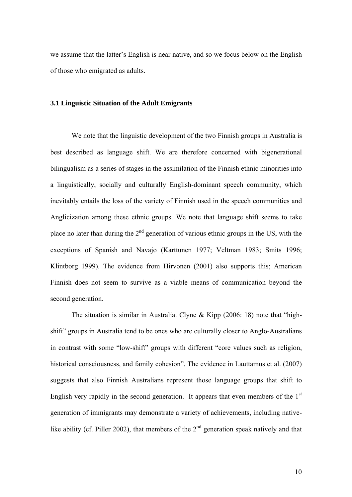we assume that the latter's English is near native, and so we focus below on the English of those who emigrated as adults.

#### **3.1 Linguistic Situation of the Adult Emigrants**

We note that the linguistic development of the two Finnish groups in Australia is best described as language shift. We are therefore concerned with bigenerational bilingualism as a series of stages in the assimilation of the Finnish ethnic minorities into a linguistically, socially and culturally English-dominant speech community, which inevitably entails the loss of the variety of Finnish used in the speech communities and Anglicization among these ethnic groups. We note that language shift seems to take place no later than during the  $2<sup>nd</sup>$  generation of various ethnic groups in the US, with the exceptions of Spanish and Navajo (Karttunen 1977; Veltman 1983; Smits 1996; Klintborg 1999). The evidence from Hirvonen (2001) also supports this; American Finnish does not seem to survive as a viable means of communication beyond the second generation.

The situation is similar in Australia. Clyne & Kipp (2006: 18) note that "highshift" groups in Australia tend to be ones who are culturally closer to Anglo-Australians in contrast with some "low-shift" groups with different "core values such as religion, historical consciousness, and family cohesion". The evidence in Lauttamus et al. (2007) suggests that also Finnish Australians represent those language groups that shift to English very rapidly in the second generation. It appears that even members of the  $1<sup>st</sup>$ generation of immigrants may demonstrate a variety of achievements, including nativelike ability (cf. Piller 2002), that members of the  $2<sup>nd</sup>$  generation speak natively and that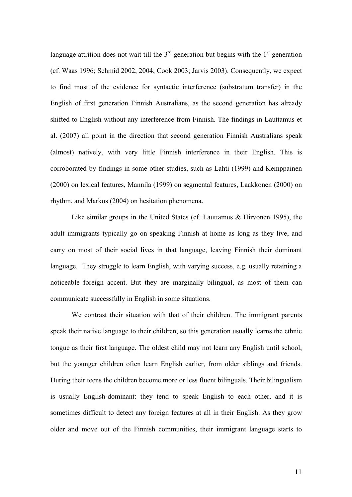language attrition does not wait till the  $3<sup>rd</sup>$  generation but begins with the  $1<sup>st</sup>$  generation (cf. Waas 1996; Schmid 2002, 2004; Cook 2003; Jarvis 2003). Consequently, we expect to find most of the evidence for syntactic interference (substratum transfer) in the English of first generation Finnish Australians, as the second generation has already shifted to English without any interference from Finnish. The findings in Lauttamus et al. (2007) all point in the direction that second generation Finnish Australians speak (almost) natively, with very little Finnish interference in their English. This is corroborated by findings in some other studies, such as Lahti (1999) and Kemppainen (2000) on lexical features, Mannila (1999) on segmental features, Laakkonen (2000) on rhythm, and Markos (2004) on hesitation phenomena.

Like similar groups in the United States (cf. Lauttamus & Hirvonen 1995), the adult immigrants typically go on speaking Finnish at home as long as they live, and carry on most of their social lives in that language, leaving Finnish their dominant language. They struggle to learn English, with varying success, e.g. usually retaining a noticeable foreign accent. But they are marginally bilingual, as most of them can communicate successfully in English in some situations.

We contrast their situation with that of their children. The immigrant parents speak their native language to their children, so this generation usually learns the ethnic tongue as their first language. The oldest child may not learn any English until school, but the younger children often learn English earlier, from older siblings and friends. During their teens the children become more or less fluent bilinguals. Their bilingualism is usually English-dominant: they tend to speak English to each other, and it is sometimes difficult to detect any foreign features at all in their English. As they grow older and move out of the Finnish communities, their immigrant language starts to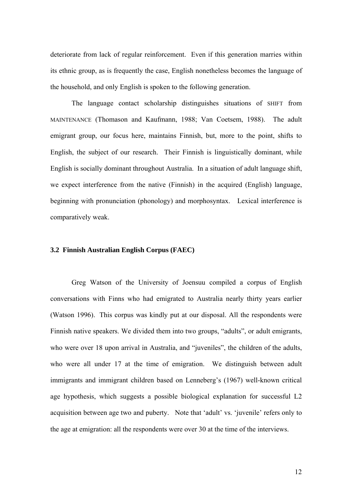deteriorate from lack of regular reinforcement. Even if this generation marries within its ethnic group, as is frequently the case, English nonetheless becomes the language of the household, and only English is spoken to the following generation.

The language contact scholarship distinguishes situations of SHIFT from MAINTENANCE (Thomason and Kaufmann, 1988; Van Coetsem, 1988). The adult emigrant group, our focus here, maintains Finnish, but, more to the point, shifts to English, the subject of our research. Their Finnish is linguistically dominant, while English is socially dominant throughout Australia. In a situation of adult language shift, we expect interference from the native (Finnish) in the acquired (English) language, beginning with pronunciation (phonology) and morphosyntax. Lexical interference is comparatively weak.

#### **3.2 Finnish Australian English Corpus (FAEC)**

Greg Watson of the University of Joensuu compiled a corpus of English conversations with Finns who had emigrated to Australia nearly thirty years earlier (Watson 1996). This corpus was kindly put at our disposal. All the respondents were Finnish native speakers. We divided them into two groups, "adults", or adult emigrants, who were over 18 upon arrival in Australia, and "juveniles", the children of the adults, who were all under 17 at the time of emigration. We distinguish between adult immigrants and immigrant children based on Lenneberg's (1967) well-known critical age hypothesis, which suggests a possible biological explanation for successful L2 acquisition between age two and puberty. Note that 'adult' vs. 'juvenile' refers only to the age at emigration: all the respondents were over 30 at the time of the interviews.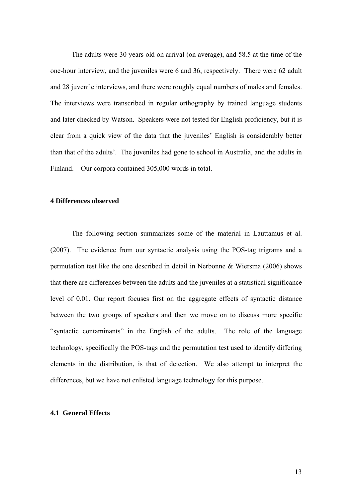The adults were 30 years old on arrival (on average), and 58.5 at the time of the one-hour interview, and the juveniles were 6 and 36, respectively. There were 62 adult and 28 juvenile interviews, and there were roughly equal numbers of males and females. The interviews were transcribed in regular orthography by trained language students and later checked by Watson. Speakers were not tested for English proficiency, but it is clear from a quick view of the data that the juveniles' English is considerably better than that of the adults'. The juveniles had gone to school in Australia, and the adults in Finland. Our corpora contained 305,000 words in total.

### **4 Differences observed**

The following section summarizes some of the material in Lauttamus et al. (2007). The evidence from our syntactic analysis using the POS-tag trigrams and a permutation test like the one described in detail in Nerbonne & Wiersma (2006) shows that there are differences between the adults and the juveniles at a statistical significance level of 0.01. Our report focuses first on the aggregate effects of syntactic distance between the two groups of speakers and then we move on to discuss more specific "syntactic contaminants" in the English of the adults. The role of the language technology, specifically the POS-tags and the permutation test used to identify differing elements in the distribution, is that of detection. We also attempt to interpret the differences, but we have not enlisted language technology for this purpose.

#### **4.1 General Effects**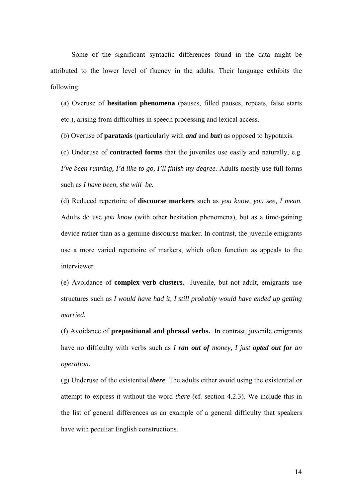Some of the significant syntactic differences found in the data might be attributed to the lower level of fluency in the adults. Their language exhibits the following:

(a) Overuse of **hesitation phenomena** (pauses, filled pauses, repeats, false starts etc.), arising from difficulties in speech processing and lexical access.

(b) Overuse of **parataxis** (particularly with *and* and *but*) as opposed to hypotaxis.

(c) Underuse of **contracted forms** that the juveniles use easily and naturally, e.g. *I've been running, I'd like to go, I'll finish my degree.* Adults mostly use full forms such as *I have been, she will be.*

(d) Reduced repertoire of **discourse markers** such as *you know, you see, I mean.*  Adults do use *you know* (with other hesitation phenomena), but as a time-gaining device rather than as a genuine discourse marker. In contrast, the juvenile emigrants use a more varied repertoire of markers, which often function as appeals to the interviewer.

(e) Avoidance of **complex verb clusters.** Juvenile, but not adult, emigrants use structures such as *I would have had it, I still probably would have ended up getting married.*

(f) Avoidance of **prepositional and phrasal verbs.** In contrast, juvenile emigrants have no difficulty with verbs such as *I ran out of money, I just opted out for an operation.* 

(g) Underuse of the existential *there*. The adults either avoid using the existential or attempt to express it without the word *there* (cf. section 4.2.3). We include this in the list of general differences as an example of a general difficulty that speakers have with peculiar English constructions.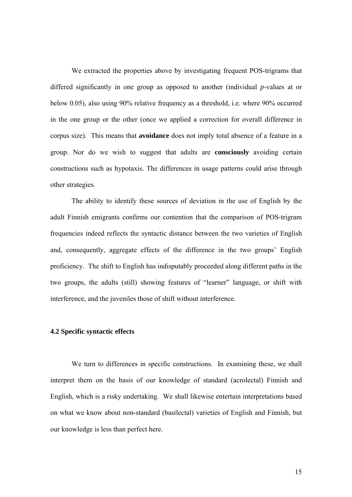We extracted the properties above by investigating frequent POS-trigrams that differed significantly in one group as opposed to another (individual *p*-values at or below 0.05), also using 90% relative frequency as a threshold, i.e. where 90% occurred in the one group or the other (once we applied a correction for overall difference in corpus size). This means that **avoidance** does not imply total absence of a feature in a group. Nor do we wish to suggest that adults are **consciously** avoiding certain constructions such as hypotaxis. The differences in usage patterns could arise through other strategies.

The ability to identify these sources of deviation in the use of English by the adult Finnish emigrants confirms our contention that the comparison of POS-trigram frequencies indeed reflects the syntactic distance between the two varieties of English and, consequently, aggregate effects of the difference in the two groups' English proficiency. The shift to English has indisputably proceeded along different paths in the two groups, the adults (still) showing features of "learner" language, or shift with interference, and the juveniles those of shift without interference.

#### **4.2 Specific syntactic effects**

We turn to differences in specific constructions. In examining these, we shall interpret them on the basis of our knowledge of standard (acrolectal) Finnish and English, which is a risky undertaking. We shall likewise entertain interpretations based on what we know about non-standard (basilectal) varieties of English and Finnish, but our knowledge is less than perfect here.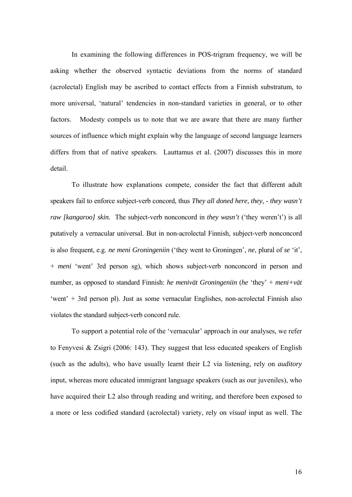In examining the following differences in POS-trigram frequency, we will be asking whether the observed syntactic deviations from the norms of standard (acrolectal) English may be ascribed to contact effects from a Finnish substratum, to more universal, 'natural' tendencies in non-standard varieties in general, or to other factors. Modesty compels us to note that we are aware that there are many further sources of influence which might explain why the language of second language learners differs from that of native speakers. Lauttamus et al. (2007) discusses this in more detail.

To illustrate how explanations compete, consider the fact that different adult speakers fail to enforce subject-verb concord, thus *They all doned here, they, - they wasn't raw [kangaroo] skin.* The subject-verb nonconcord in *they wasn't* ('they weren't') is all putatively a vernacular universal. But in non-acrolectal Finnish, subject-verb nonconcord is also frequent, e.g. *ne meni Groningeniin* ('they went to Groningen', *ne*, plural of *se* 'it', + *meni* 'went' 3rd person sg), which shows subject-verb nonconcord in person and number, as opposed to standard Finnish: *he menivät Groningeniin* (*he* 'they' + *meni+vät* 'went' + 3rd person pl). Just as some vernacular Englishes, non-acrolectal Finnish also violates the standard subject-verb concord rule.

To support a potential role of the 'vernacular' approach in our analyses, we refer to Fenyvesi & Zsigri (2006: 143). They suggest that less educated speakers of English (such as the adults), who have usually learnt their L2 via listening, rely on *auditory*  input, whereas more educated immigrant language speakers (such as our juveniles), who have acquired their L2 also through reading and writing, and therefore been exposed to a more or less codified standard (acrolectal) variety, rely on *visual* input as well. The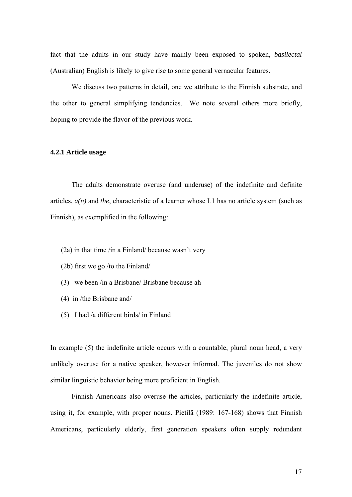fact that the adults in our study have mainly been exposed to spoken, *basilectal* (Australian) English is likely to give rise to some general vernacular features.

We discuss two patterns in detail, one we attribute to the Finnish substrate, and the other to general simplifying tendencies. We note several others more briefly, hoping to provide the flavor of the previous work.

#### **4.2.1 Article usage**

The adults demonstrate overuse (and underuse) of the indefinite and definite articles, *a(n)* and *the*, characteristic of a learner whose L1 has no article system (such as Finnish), as exemplified in the following:

- (2a) in that time /in a Finland/ because wasn't very
- (2b) first we go /to the Finland/
- (3) we been /in a Brisbane/ Brisbane because ah
- (4) in /the Brisbane and/
- (5) I had /a different birds/ in Finland

In example (5) the indefinite article occurs with a countable, plural noun head, a very unlikely overuse for a native speaker, however informal. The juveniles do not show similar linguistic behavior being more proficient in English.

Finnish Americans also overuse the articles, particularly the indefinite article, using it, for example, with proper nouns. Pietilä (1989: 167-168) shows that Finnish Americans, particularly elderly, first generation speakers often supply redundant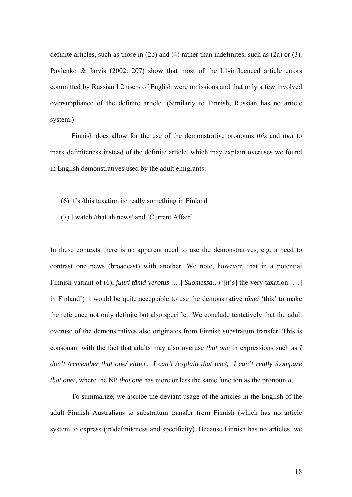definite articles, such as those in (2b) and (4) rather than indefinites, such as (2a) or (3). Pavlenko & Jarvis (2002: 207) show that most of the L1-influenced article errors committed by Russian L2 users of English were omissions and that only a few involved oversuppliance of the definite article. (Similarly to Finnish, Russian has no article system.)

Finnish does allow for the use of the demonstrative pronouns *this* and *that* to mark definiteness instead of the definite article, which may explain overuses we found in English demonstratives used by the adult emigrants:

- (6) it's /this taxation is/ really something in Finland
- (7) I watch /that ah news/ and 'Current Affair'

In these contexts there is no apparent need to use the demonstratives, e.g. a need to contrast one news (broadcast) with another. We note, however, that in a potential Finnish variant of (6), *juuri tämä verotus* [*…*] *Suomessa…*('[it's] the very taxation […] in Finland') it would be quite acceptable to use the demonstrative *tämä* 'this' to make the reference not only definite but also specific. We conclude tentatively that the adult overuse of the demonstratives also originates from Finnish substratum transfer. This is consonant with the fact that adults may also overuse *that one* in expressions such as *I don't /remember that one/ either, I can't /explain that one/, I can't really /compare that one/*, where the NP *that one* has more or less the same function as the pronoun *it.*

To summarize, we ascribe the deviant usage of the articles in the English of the adult Finnish Australians to substratum transfer from Finnish (which has no article system to express (in)definiteness and specificity). Because Finnish has no articles, we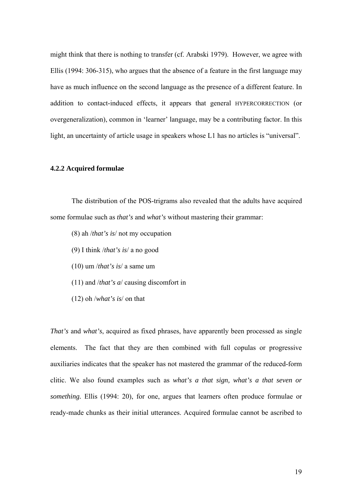might think that there is nothing to transfer (cf. Arabski 1979). However, we agree with Ellis (1994: 306-315), who argues that the absence of a feature in the first language may have as much influence on the second language as the presence of a different feature. In addition to contact-induced effects, it appears that general HYPERCORRECTION (or overgeneralization), common in 'learner' language, may be a contributing factor. In this light, an uncertainty of article usage in speakers whose L1 has no articles is "universal".

#### **4.2.2 Acquired formulae**

The distribution of the POS-trigrams also revealed that the adults have acquired some formulae such as *that's* and *what's* without mastering their grammar:

- (8) ah /*that's is*/ not my occupation
- (9) I think /*that's is*/ a no good
- (10) um /*that's is*/ a same um
- (11) and /*that's a*/ causing discomfort in
- (12) oh /*what's is*/ on that

*That's* and *what's*, acquired as fixed phrases, have apparently been processed as single elements. The fact that they are then combined with full copulas or progressive auxiliaries indicates that the speaker has not mastered the grammar of the reduced-form clitic. We also found examples such as *what's a that sign, what's a that seven or something.* Ellis (1994: 20), for one, argues that learners often produce formulae or ready-made chunks as their initial utterances. Acquired formulae cannot be ascribed to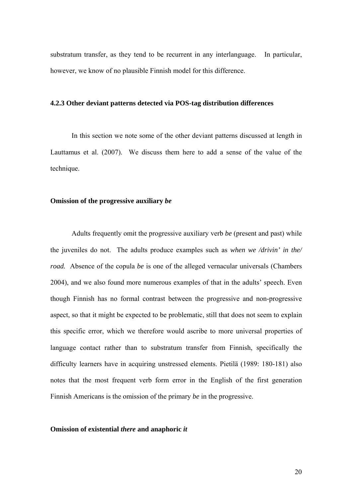substratum transfer, as they tend to be recurrent in any interlanguage. In particular, however, we know of no plausible Finnish model for this difference.

#### **4.2.3 Other deviant patterns detected via POS-tag distribution differences**

In this section we note some of the other deviant patterns discussed at length in Lauttamus et al. (2007). We discuss them here to add a sense of the value of the technique.

#### **Omission of the progressive auxiliary** *be*

Adults frequently omit the progressive auxiliary verb *be* (present and past) while the juveniles do not. The adults produce examples such as *when we /drivin' in the/ road.* Absence of the copula *be* is one of the alleged vernacular universals (Chambers 2004), and we also found more numerous examples of that in the adults' speech. Even though Finnish has no formal contrast between the progressive and non-progressive aspect, so that it might be expected to be problematic, still that does not seem to explain this specific error, which we therefore would ascribe to more universal properties of language contact rather than to substratum transfer from Finnish, specifically the difficulty learners have in acquiring unstressed elements. Pietilä (1989: 180-181) also notes that the most frequent verb form error in the English of the first generation Finnish Americans is the omission of the primary *be* in the progressive.

#### **Omission of existential** *there* **and anaphoric** *it*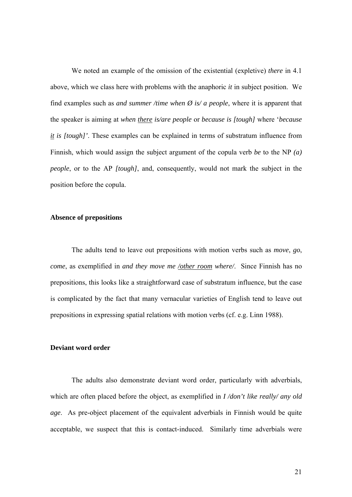We noted an example of the omission of the existential (expletive) *there* in 4.1 above, which we class here with problems with the anaphoric *it* in subject position. We find examples such as *and summer /time when Ø is/ a people*, where it is apparent that the speaker is aiming at *when there is/are people* or *because is [tough]* where '*because it is [tough]'*. These examples can be explained in terms of substratum influence from Finnish, which would assign the subject argument of the copula verb *be* to the NP *(a) people*, or to the AP *[tough]*, and, consequently, would not mark the subject in the position before the copula.

#### **Absence of prepositions**

The adults tend to leave out prepositions with motion verbs such as *move*, *go*, *come*, as exemplified in *and they move me /other room where/*. Since Finnish has no prepositions, this looks like a straightforward case of substratum influence, but the case is complicated by the fact that many vernacular varieties of English tend to leave out prepositions in expressing spatial relations with motion verbs (cf. e.g. Linn 1988).

#### **Deviant word order**

The adults also demonstrate deviant word order, particularly with adverbials, which are often placed before the object, as exemplified in *I /don't like really/ any old age*. As pre-object placement of the equivalent adverbials in Finnish would be quite acceptable, we suspect that this is contact-induced. Similarly time adverbials were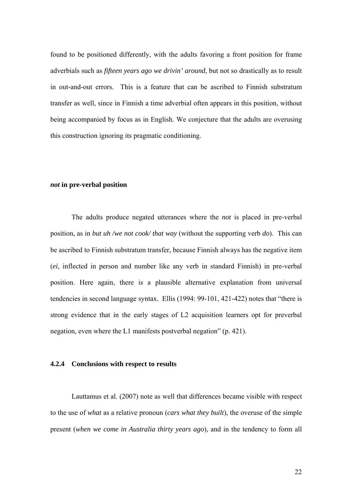found to be positioned differently, with the adults favoring a front position for frame adverbials such as *fifteen years ago we drivin' around*, but not so drastically as to result in out-and-out errors. This is a feature that can be ascribed to Finnish substratum transfer as well, since in Finnish a time adverbial often appears in this position, without being accompanied by focus as in English. We conjecture that the adults are overusing this construction ignoring its pragmatic conditioning.

#### *not* **in pre-verbal position**

The adults produce negated utterances where the *not* is placed in pre-verbal position, as in *but uh /we not cook/ that way* (without the supporting verb *do*). This can be ascribed to Finnish substratum transfer, because Finnish always has the negative item (*ei*, inflected in person and number like any verb in standard Finnish) in pre-verbal position. Here again, there is a plausible alternative explanation from universal tendencies in second language syntax. Ellis (1994: 99-101, 421-422) notes that "there is strong evidence that in the early stages of L2 acquisition learners opt for preverbal negation, even where the L1 manifests postverbal negation" (p. 421).

#### **4.2.4 Conclusions with respect to results**

Lauttamus et al. (2007) note as well that differences became visible with respect to the use of *what* as a relative pronoun (*cars what they built*), the overuse of the simple present (*when we come in Australia thirty years ago*), and in the tendency to form all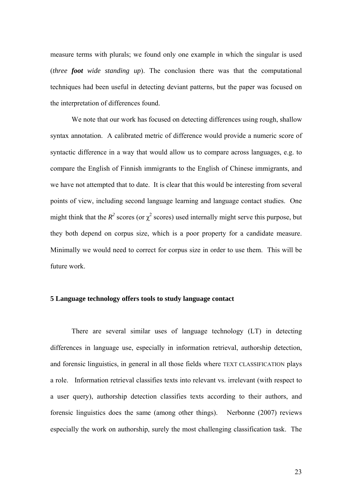measure terms with plurals; we found only one example in which the singular is used (*three foot wide standing up*). The conclusion there was that the computational techniques had been useful in detecting deviant patterns, but the paper was focused on the interpretation of differences found.

We note that our work has focused on detecting differences using rough, shallow syntax annotation. A calibrated metric of difference would provide a numeric score of syntactic difference in a way that would allow us to compare across languages, e.g. to compare the English of Finnish immigrants to the English of Chinese immigrants, and we have not attempted that to date. It is clear that this would be interesting from several points of view, including second language learning and language contact studies. One might think that the  $R^2$  scores (or  $\chi^2$  scores) used internally might serve this purpose, but they both depend on corpus size, which is a poor property for a candidate measure. Minimally we would need to correct for corpus size in order to use them. This will be future work.

#### **5 Language technology offers tools to study language contact**

There are several similar uses of language technology (LT) in detecting differences in language use, especially in information retrieval, authorship detection, and forensic linguistics, in general in all those fields where TEXT CLASSIFICATION plays a role. Information retrieval classifies texts into relevant vs. irrelevant (with respect to a user query), authorship detection classifies texts according to their authors, and forensic linguistics does the same (among other things). Nerbonne (2007) reviews especially the work on authorship, surely the most challenging classification task. The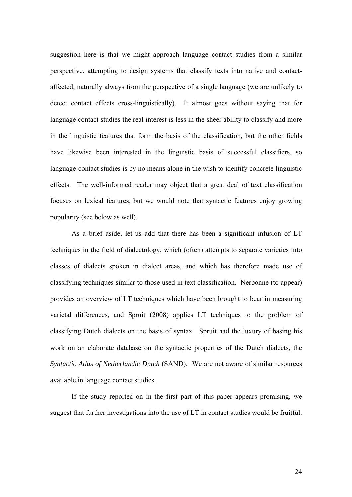suggestion here is that we might approach language contact studies from a similar perspective, attempting to design systems that classify texts into native and contactaffected, naturally always from the perspective of a single language (we are unlikely to detect contact effects cross-linguistically). It almost goes without saying that for language contact studies the real interest is less in the sheer ability to classify and more in the linguistic features that form the basis of the classification, but the other fields have likewise been interested in the linguistic basis of successful classifiers, so language-contact studies is by no means alone in the wish to identify concrete linguistic effects. The well-informed reader may object that a great deal of text classification focuses on lexical features, but we would note that syntactic features enjoy growing popularity (see below as well).

As a brief aside, let us add that there has been a significant infusion of LT techniques in the field of dialectology, which (often) attempts to separate varieties into classes of dialects spoken in dialect areas, and which has therefore made use of classifying techniques similar to those used in text classification. Nerbonne (to appear) provides an overview of LT techniques which have been brought to bear in measuring varietal differences, and Spruit (2008) applies LT techniques to the problem of classifying Dutch dialects on the basis of syntax. Spruit had the luxury of basing his work on an elaborate database on the syntactic properties of the Dutch dialects, the *Syntactic Atlas of Netherlandic Dutch* (SAND). We are not aware of similar resources available in language contact studies.

If the study reported on in the first part of this paper appears promising, we suggest that further investigations into the use of LT in contact studies would be fruitful.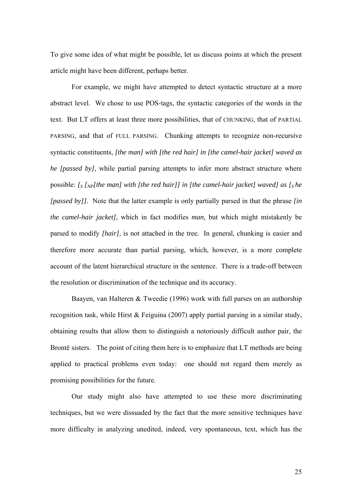To give some idea of what might be possible, let us discuss points at which the present article might have been different, perhaps better.

For example, we might have attempted to detect syntactic structure at a more abstract level. We chose to use POS-tags, the syntactic categories of the words in the text. But LT offers at least three more possibilities, that of CHUNKING, that of PARTIAL PARSING, and that of FULL PARSING. Chunking attempts to recognize non-recursive syntactic constituents, *[the man] with [the red hair] in [the camel-hair jacket] waved as he [passed by],* while partial parsing attempts to infer more abstract structure where possible: *[S [NP[the man] with [the red hair]] in [the camel-hair jacket] waved] as [S he [passed by]].* Note that the latter example is only partially parsed in that the phrase *[in the camel-hair jacket],* which in fact modifies *man,* but which might mistakenly be parsed to modify *[hair],* is not attached in the tree*.* In general, chunking is easier and therefore more accurate than partial parsing, which, however, is a more complete account of the latent hierarchical structure in the sentence. There is a trade-off between the resolution or discrimination of the technique and its accuracy.

Baayen, van Halteren & Tweedie (1996) work with full parses on an authorship recognition task, while Hirst & Feiguina (2007) apply partial parsing in a similar study, obtaining results that allow them to distinguish a notoriously difficult author pair, the Brontë sisters. The point of citing them here is to emphasize that LT methods are being applied to practical problems even today: one should not regard them merely as promising possibilities for the future.

Our study might also have attempted to use these more discriminating techniques, but we were dissuaded by the fact that the more sensitive techniques have more difficulty in analyzing unedited, indeed, very spontaneous, text, which has the

25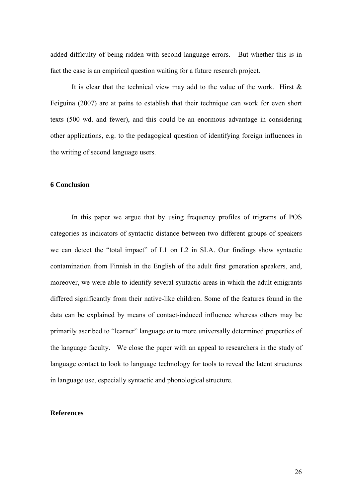added difficulty of being ridden with second language errors. But whether this is in fact the case is an empirical question waiting for a future research project.

It is clear that the technical view may add to the value of the work. Hirst  $\&$ Feiguina (2007) are at pains to establish that their technique can work for even short texts (500 wd. and fewer), and this could be an enormous advantage in considering other applications, e.g. to the pedagogical question of identifying foreign influences in the writing of second language users.

### **6 Conclusion**

In this paper we argue that by using frequency profiles of trigrams of POS categories as indicators of syntactic distance between two different groups of speakers we can detect the "total impact" of L1 on L2 in SLA. Our findings show syntactic contamination from Finnish in the English of the adult first generation speakers, and, moreover, we were able to identify several syntactic areas in which the adult emigrants differed significantly from their native-like children. Some of the features found in the data can be explained by means of contact-induced influence whereas others may be primarily ascribed to "learner" language or to more universally determined properties of the language faculty. We close the paper with an appeal to researchers in the study of language contact to look to language technology for tools to reveal the latent structures in language use, especially syntactic and phonological structure.

#### **References**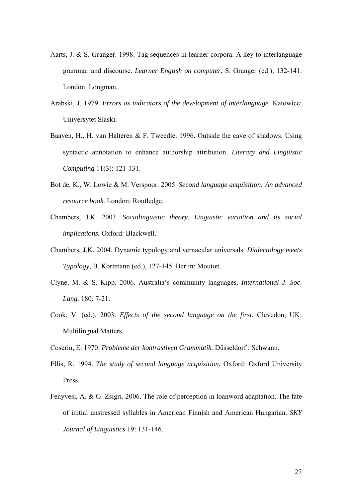- Aarts, J. & S. Granger. 1998. Tag sequences in learner corpora. A key to interlanguage grammar and discourse. *Learner English on computer*, S. Granger (ed.), 132-141. London: Longman.
- Arabski, J. 1979. *Errors as indicators of the development of interlanguage.* Katowice: Universytet Slaski.
- Baayen, H., H. van Halteren & F. Tweedie. 1996. Outside the cave of shadows. Using syntactic annotation to enhance authorship attribution. *Literary and Linguistic Computing* 11(3): 121-131.
- Bot de, K., W. Lowie & M. Verspoor. 2005. *Second language acquisition: An advanced resource book.* London: Routledge.
- Chambers, J.K. 2003. *Sociolinguistic theory. Linguistic variation and its social implications.* Oxford: Blackwell.
- Chambers, J.K. 2004. Dynamic typology and vernacular universals. *Dialectology meets Typology*, B. Kortmann (ed.), 127-145. Berlin: Mouton.
- Clyne, M. & S. Kipp. 2006. Australia's community languages. *International J. Soc. Lang.* 180: 7-21.
- Cook, V. (ed.). 2003. *Effects of the second language on the first.* Clevedon, UK: Multilingual Matters.
- Coseriu, E. 1970. *Probleme der kontrastiven Grammatik.* Düsseldorf : Schwann.
- Ellis, R. 1994. *The study of second language acquisition.* Oxford: Oxford University Press.
- Fenyvesi, A. & G. Zsigri. 2006. The role of perception in loanword adaptation. The fate of initial unstressed syllables in American Finnish and American Hungarian. *SKY Journal of Linguistics* 19: 131-146.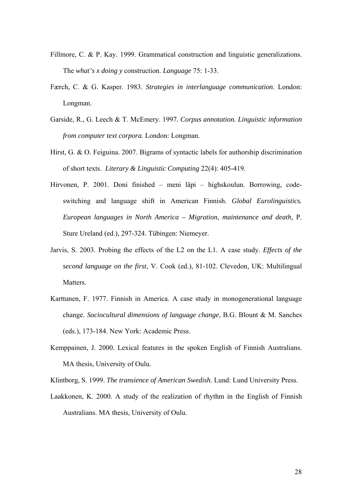- Fillmore, C. & P. Kay. 1999. Grammatical construction and linguistic generalizations. The *what's x doing y* construction. *Language* 75: 1-33.
- Færch, C. & G. Kasper. 1983. *Strategies in interlanguage communication*. London: Longman.
- Garside, R., G. Leech & T. McEmery. 1997. *Corpus annotation. Linguistic information from computer text corpora.* London: Longman.
- Hirst, G. & O. Feiguina. 2007. Bigrams of syntactic labels for authorship discrimination of short texts. *Literary & Linguistic Computing* 22(4): 405-419.
- Hirvonen, P. 2001. Doni finished meni läpi highskoulun. Borrowing, codeswitching and language shift in American Finnish. *Global Eurolinguistics. European languages in North America – Migration, maintenance and death,* P. Sture Ureland (ed.), 297-324. Tübingen: Niemeyer.
- Jarvis, S. 2003. Probing the effects of the L2 on the L1. A case study. *Effects of the second language on the first*, V. Cook (ed.), 81-102. Clevedon, UK: Multilingual Matters.
- Karttunen, F. 1977. Finnish in America. A case study in monogenerational language change. *Sociocultural dimensions of language change*, B.G. Blount & M. Sanches (eds.), 173-184. New York: Academic Press.
- Kemppainen, J. 2000. Lexical features in the spoken English of Finnish Australians. MA thesis, University of Oulu.
- Klintborg, S. 1999. *The transience of American Swedish.* Lund: Lund University Press.
- Laakkonen, K. 2000. A study of the realization of rhythm in the English of Finnish Australians. MA thesis, University of Oulu.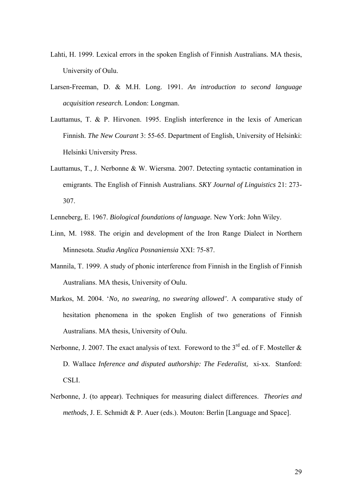- Lahti, H. 1999. Lexical errors in the spoken English of Finnish Australians*.* MA thesis, University of Oulu.
- Larsen-Freeman, D. & M.H. Long. 1991. *An introduction to second language acquisition research.* London: Longman.
- Lauttamus, T. & P. Hirvonen. 1995. English interference in the lexis of American Finnish. *The New Courant* 3: 55-65. Department of English, University of Helsinki: Helsinki University Press.
- Lauttamus, T., J. Nerbonne & W. Wiersma. 2007. Detecting syntactic contamination in emigrants. The English of Finnish Australians. *SKY Journal of Linguistics* 21: 273- 307.
- Lenneberg, E. 1967. *Biological foundations of language.* New York: John Wiley.
- Linn, M. 1988. The origin and development of the Iron Range Dialect in Northern Minnesota. *Studia Anglica Posnaniensia* XXI: 75-87.
- Mannila, T. 1999. A study of phonic interference from Finnish in the English of Finnish Australians. MA thesis, University of Oulu.
- Markos, M. 2004. '*No, no swearing, no swearing allowed'*. A comparative study of hesitation phenomena in the spoken English of two generations of Finnish Australians. MA thesis, University of Oulu.
- Nerbonne, J. 2007. The exact analysis of text. Foreword to the  $3<sup>rd</sup>$  ed. of F. Mosteller  $\&$ D. Wallace *Inference and disputed authorship: The Federalist,* xi-xx.Stanford: CSLI.
- Nerbonne, J. (to appear). Techniques for measuring dialect differences. *Theories and methods*, J. E. Schmidt & P. Auer (eds.). Mouton: Berlin [Language and Space].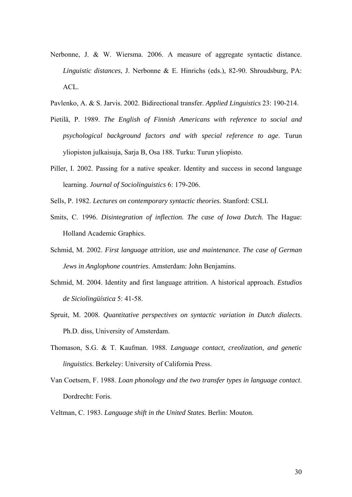- Nerbonne, J. & W. Wiersma. 2006. A measure of aggregate syntactic distance. *Linguistic distances*, J. Nerbonne & E. Hinrichs (eds.), 82-90. Shroudsburg, PA: ACL.
- Pavlenko, A. & S. Jarvis. 2002. Bidirectional transfer. *Applied Linguistics* 23: 190-214.
- Pietilä, P. 1989. *The English of Finnish Americans with reference to social and psychological background factors and with special reference to age*. Turun yliopiston julkaisuja, Sarja B, Osa 188. Turku: Turun yliopisto.
- Piller, I. 2002. Passing for a native speaker. Identity and success in second language learning. *Journal of Sociolinguistics* 6: 179-206.
- Sells, P. 1982. *Lectures on contemporary syntactic theories.* Stanford: CSLI.
- Smits, C. 1996. *Disintegration of inflection. The case of Iowa Dutch*. The Hague: Holland Academic Graphics.
- Schmid, M. 2002. *First language attrition, use and maintenance. The case of German Jews in Anglophone countries*. Amsterdam: John Benjamins.
- Schmid, M. 2004. Identity and first language attrition. A historical approach. *Estudios de Siciolingüística* 5: 41-58.
- Spruit, M. 2008. *Quantitative perspectives on syntactic variation in Dutch dialects*. Ph.D. diss, University of Amsterdam.
- Thomason, S.G. & T. Kaufman. 1988. *Language contact, creolization, and genetic linguistics*. Berkeley: University of California Press.
- Van Coetsem, F. 1988. *Loan phonology and the two transfer types in language contact*. Dordrecht: Foris.
- Veltman, C. 1983. *Language shift in the United States.* Berlin: Mouton.